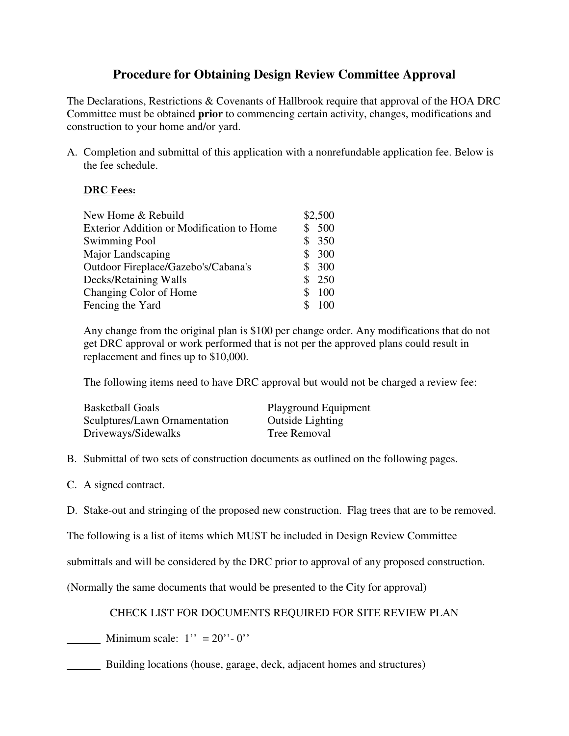# **Procedure for Obtaining Design Review Committee Approval**

The Declarations, Restrictions & Covenants of Hallbrook require that approval of the HOA DRC Committee must be obtained **prior** to commencing certain activity, changes, modifications and construction to your home and/or yard.

A. Completion and submittal of this application with a nonrefundable application fee. Below is the fee schedule.

### **DRC Fees:**

| New Home & Rebuild                        |    | \$2,500 |
|-------------------------------------------|----|---------|
| Exterior Addition or Modification to Home |    | 500     |
| <b>Swimming Pool</b>                      |    | \$350   |
| Major Landscaping                         | S. | 300     |
| Outdoor Fireplace/Gazebo's/Cabana's       |    | \$300   |
| Decks/Retaining Walls                     |    | \$250   |
| Changing Color of Home                    | S  | 100     |
| Fencing the Yard                          |    | 100     |

Any change from the original plan is \$100 per change order. Any modifications that do not get DRC approval or work performed that is not per the approved plans could result in replacement and fines up to \$10,000.

The following items need to have DRC approval but would not be charged a review fee:

| Basketball Goals              | Playground Equipment    |
|-------------------------------|-------------------------|
| Sculptures/Lawn Ornamentation | <b>Outside Lighting</b> |
| Driveways/Sidewalks           | <b>Tree Removal</b>     |

- B. Submittal of two sets of construction documents as outlined on the following pages.
- C. A signed contract.
- D. Stake-out and stringing of the proposed new construction. Flag trees that are to be removed.

The following is a list of items which MUST be included in Design Review Committee

submittals and will be considered by the DRC prior to approval of any proposed construction.

(Normally the same documents that would be presented to the City for approval)

## CHECK LIST FOR DOCUMENTS REQUIRED FOR SITE REVIEW PLAN

Minimum scale:  $1'' = 20'' - 0''$ 

Building locations (house, garage, deck, adjacent homes and structures)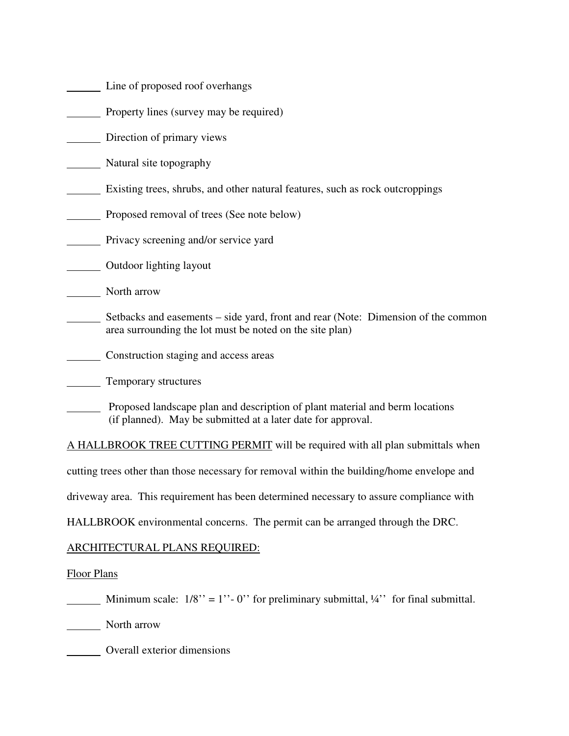- Line of proposed roof overhangs
- Property lines (survey may be required)

Direction of primary views

Natural site topography

**Existing trees, shrubs, and other natural features, such as rock outcroppings** 

**Proposed removal of trees (See note below)** 

**Privacy screening and/or service yard** 

Outdoor lighting layout

North arrow

- Setbacks and easements side yard, front and rear (Note: Dimension of the common area surrounding the lot must be noted on the site plan)
- **Construction staging and access areas**
- **Temporary structures**
- Proposed landscape plan and description of plant material and berm locations (if planned). May be submitted at a later date for approval.

A HALLBROOK TREE CUTTING PERMIT will be required with all plan submittals when

cutting trees other than those necessary for removal within the building/home envelope and

driveway area. This requirement has been determined necessary to assure compliance with

HALLBROOK environmental concerns. The permit can be arranged through the DRC.

#### ARCHITECTURAL PLANS REQUIRED:

#### Floor Plans

Minimum scale:  $1/8$ " = 1" - 0" for preliminary submittal,  $\frac{1}{4}$ " for final submittal.

North arrow

Overall exterior dimensions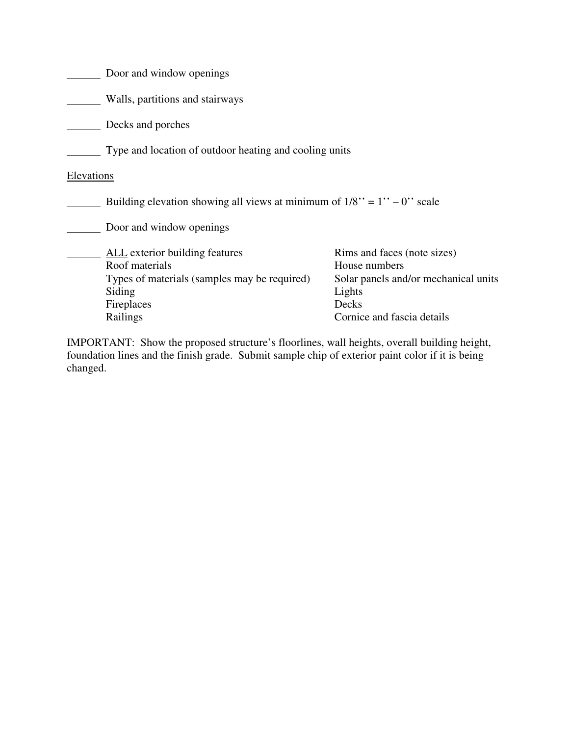|            | Door and window openings                                                                                                        |                                                                                                         |  |  |  |  |
|------------|---------------------------------------------------------------------------------------------------------------------------------|---------------------------------------------------------------------------------------------------------|--|--|--|--|
|            | Walls, partitions and stairways                                                                                                 |                                                                                                         |  |  |  |  |
|            | Decks and porches                                                                                                               |                                                                                                         |  |  |  |  |
|            | Type and location of outdoor heating and cooling units                                                                          |                                                                                                         |  |  |  |  |
| Elevations |                                                                                                                                 |                                                                                                         |  |  |  |  |
|            | Building elevation showing all views at minimum of $1/8$ " = $1$ " – 0" scale                                                   |                                                                                                         |  |  |  |  |
|            | Door and window openings                                                                                                        |                                                                                                         |  |  |  |  |
|            | <b>ALL</b> exterior building features<br>Roof materials<br>Types of materials (samples may be required)<br>Siding<br>Fireplaces | Rims and faces (note sizes)<br>House numbers<br>Solar panels and/or mechanical units<br>Lights<br>Decks |  |  |  |  |
|            | Railings                                                                                                                        | Cornice and fascia details                                                                              |  |  |  |  |

IMPORTANT: Show the proposed structure's floorlines, wall heights, overall building height, foundation lines and the finish grade. Submit sample chip of exterior paint color if it is being changed.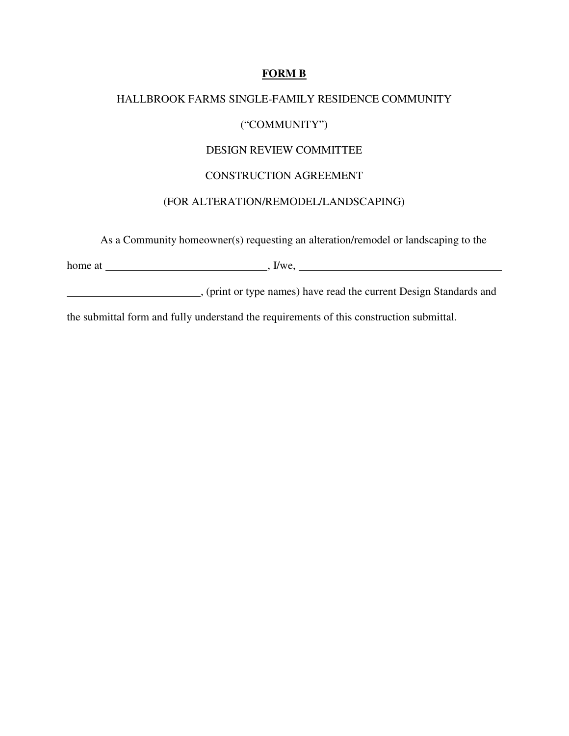#### **FORM B**

# HALLBROOK FARMS SINGLE-FAMILY RESIDENCE COMMUNITY ("COMMUNITY") DESIGN REVIEW COMMITTEE CONSTRUCTION AGREEMENT (FOR ALTERATION/REMODEL/LANDSCAPING)

As a Community homeowner(s) requesting an alteration/remodel or landscaping to the

 $h$ ome at  $\frac{1}{h}$ , I/we,  $\frac{1}{h}$ 

, (print or type names) have read the current Design Standards and

the submittal form and fully understand the requirements of this construction submittal.